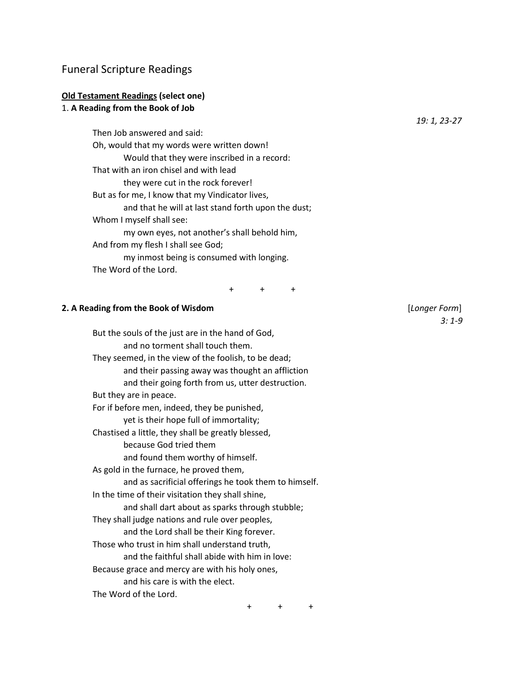# Funeral Scripture Readings

# **Old Testament Readings (select one)**

## 1. **A Reading from the Book of Job**

Then Job answered and said: Oh, would that my words were written down! Would that they were inscribed in a record: That with an iron chisel and with lead they were cut in the rock forever! But as for me, I know that my Vindicator lives, and that he will at last stand forth upon the dust; Whom I myself shall see: my own eyes, not another's shall behold him, And from my flesh I shall see God; my inmost being is consumed with longing. The Word of the Lord.

+ + +

#### **2. A Reading from the Book of Wisdom** [*Longer Form*]

But the souls of the just are in the hand of God, and no torment shall touch them. They seemed, in the view of the foolish, to be dead; and their passing away was thought an affliction and their going forth from us, utter destruction. But they are in peace. For if before men, indeed, they be punished, yet is their hope full of immortality; Chastised a little, they shall be greatly blessed, because God tried them and found them worthy of himself. As gold in the furnace, he proved them, and as sacrificial offerings he took them to himself. In the time of their visitation they shall shine, and shall dart about as sparks through stubble; They shall judge nations and rule over peoples, and the Lord shall be their King forever. Those who trust in him shall understand truth, and the faithful shall abide with him in love: Because grace and mercy are with his holy ones, and his care is with the elect. The Word of the Lord.

*3: 1-9*

*19: 1, 23-27*

+ + +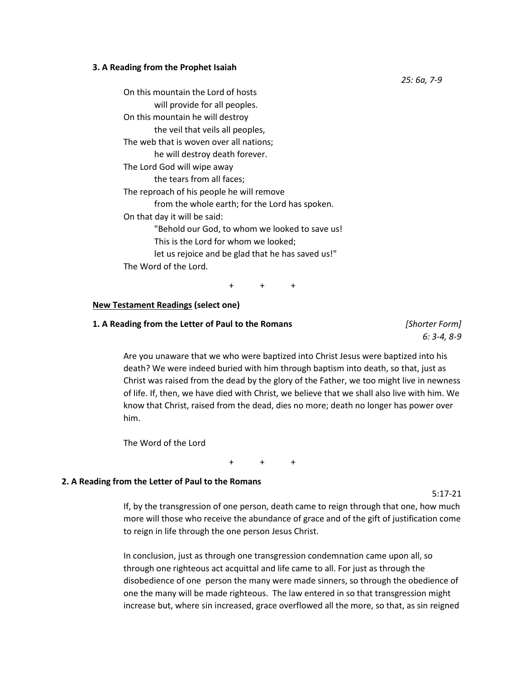### **3. A Reading from the Prophet Isaiah**

On this mountain the Lord of hosts will provide for all peoples. On this mountain he will destroy the veil that veils all peoples, The web that is woven over all nations; he will destroy death forever. The Lord God will wipe away the tears from all faces; The reproach of his people he will remove from the whole earth; for the Lord has spoken. On that day it will be said: "Behold our God, to whom we looked to save us! This is the Lord for whom we looked; let us rejoice and be glad that he has saved us!" The Word of the Lord.

+ + +

### **New Testament Readings (select one)**

### **1. A Reading from the Letter of Paul to the Romans** *[Shorter Form]*

*6: 3-4, 8-9*

Are you unaware that we who were baptized into Christ Jesus were baptized into his death? We were indeed buried with him through baptism into death, so that, just as Christ was raised from the dead by the glory of the Father, we too might live in newness of life. If, then, we have died with Christ, we believe that we shall also live with him. We know that Christ, raised from the dead, dies no more; death no longer has power over him.

The Word of the Lord

+ + +

#### **2. A Reading from the Letter of Paul to the Romans**

5:17-21

If, by the transgression of one person, death came to reign through that one, how much more will those who receive the abundance of grace and of the gift of justification come to reign in life through the one person Jesus Christ.

In conclusion, just as through one transgression condemnation came upon all, so through one righteous act acquittal and life came to all. For just as through the disobedience of one person the many were made sinners, so through the obedience of one the many will be made righteous. The law entered in so that transgression might increase but, where sin increased, grace overflowed all the more, so that, as sin reigned

*25: 6a, 7-9*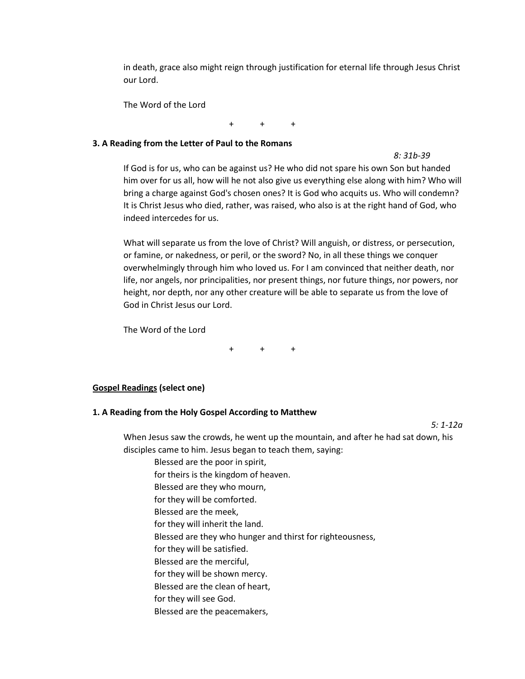in death, grace also might reign through justification for eternal life through Jesus Christ our Lord.

The Word of the Lord

+ + +

### **3. A Reading from the Letter of Paul to the Romans**

*8: 31b-39*

If God is for us, who can be against us? He who did not spare his own Son but handed him over for us all, how will he not also give us everything else along with him? Who will bring a charge against God's chosen ones? It is God who acquits us. Who will condemn? It is Christ Jesus who died, rather, was raised, who also is at the right hand of God, who indeed intercedes for us.

What will separate us from the love of Christ? Will anguish, or distress, or persecution, or famine, or nakedness, or peril, or the sword? No, in all these things we conquer overwhelmingly through him who loved us. For I am convinced that neither death, nor life, nor angels, nor principalities, nor present things, nor future things, nor powers, nor height, nor depth, nor any other creature will be able to separate us from the love of God in Christ Jesus our Lord.

The Word of the Lord

+ + +

## **Gospel Readings (select one)**

## **1. A Reading from the Holy Gospel According to Matthew**

*5: 1-12a*

When Jesus saw the crowds, he went up the mountain, and after he had sat down, his disciples came to him. Jesus began to teach them, saying:

Blessed are the poor in spirit,

- for theirs is the kingdom of heaven.
- Blessed are they who mourn,
- for they will be comforted.
- Blessed are the meek,
- for they will inherit the land.
- Blessed are they who hunger and thirst for righteousness,
- for they will be satisfied.
- Blessed are the merciful,
- for they will be shown mercy.
- Blessed are the clean of heart,
- for they will see God.
- Blessed are the peacemakers,